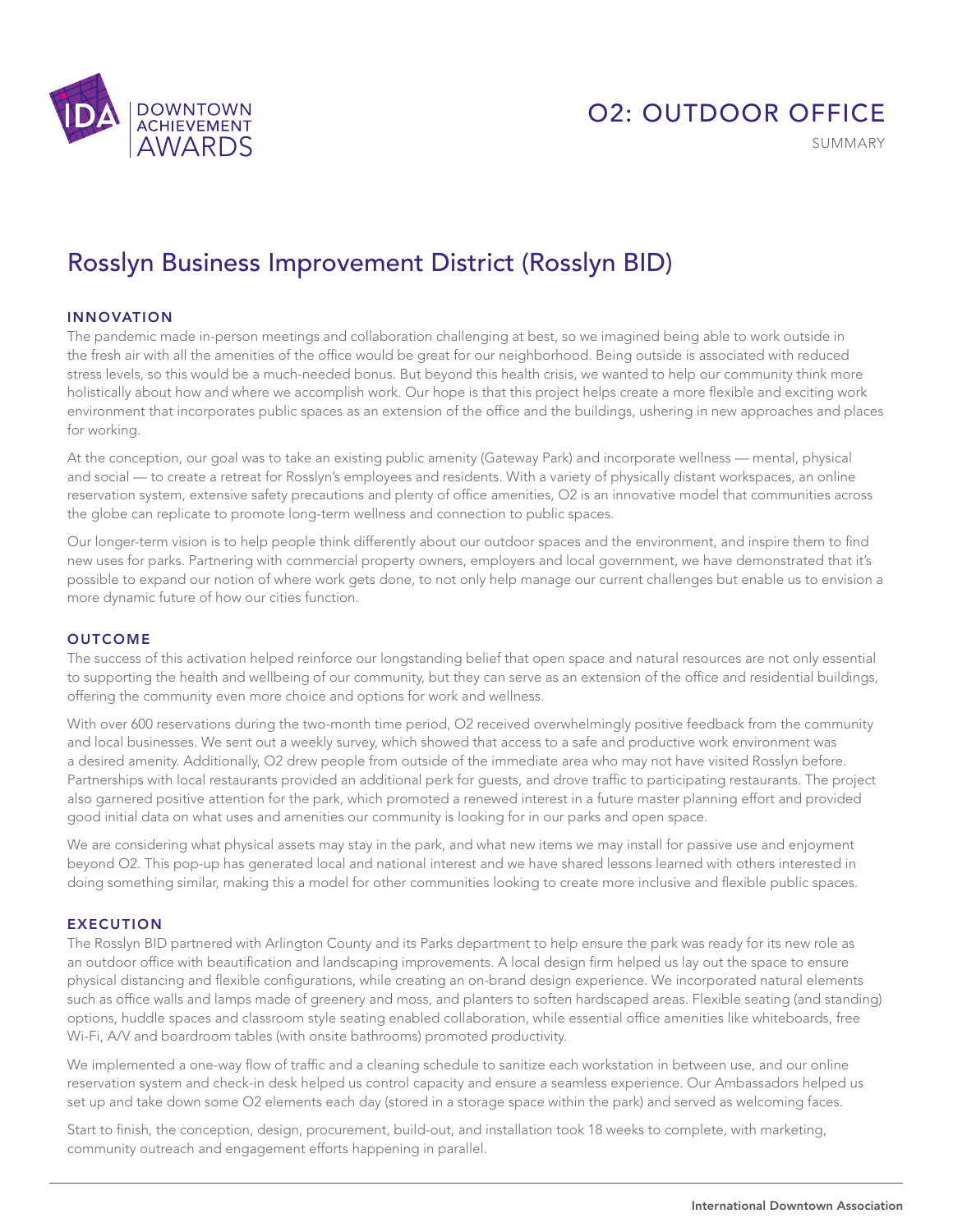

## O2: OUTDOOR OFFICE

SUMMARY

# Rosslyn Business Improvement District (Rosslyn BID)

### INNOVATION

The pandemic made in-person meetings and collaboration challenging at best, so we imagined being able to work outside in the fresh air with all the amenities of the office would be great for our neighborhood. Being outside is associated with reduced stress levels, so this would be a much-needed bonus. But beyond this health crisis, we wanted to help our community think more holistically about how and where we accomplish work. Our hope is that this project helps create a more flexible and exciting work environment that incorporates public spaces as an extension of the office and the buildings, ushering in new approaches and places for working.

At the conception, our goal was to take an existing public amenity (Gateway Park) and incorporate wellness — mental, physical and social — to create a retreat for Rosslyn's employees and residents. With a variety of physically distant workspaces, an online reservation system, extensive safety precautions and plenty of office amenities, O2 is an innovative model that communities across the globe can replicate to promote long-term wellness and connection to public spaces.

Our longer-term vision is to help people think differently about our outdoor spaces and the environment, and inspire them to find new uses for parks. Partnering with commercial property owners, employers and local government, we have demonstrated that it's possible to expand our notion of where work gets done, to not only help manage our current challenges but enable us to envision a more dynamic future of how our cities function.

#### **OUTCOME**

The success of this activation helped reinforce our longstanding belief that open space and natural resources are not only essential to supporting the health and wellbeing of our community, but they can serve as an extension of the office and residential buildings, offering the community even more choice and options for work and wellness.

With over 600 reservations during the two-month time period, O2 received overwhelmingly positive feedback from the community and local businesses. We sent out a weekly survey, which showed that access to a safe and productive work environment was a desired amenity. Additionally, O2 drew people from outside of the immediate area who may not have visited Rosslyn before. Partnerships with local restaurants provided an additional perk for guests, and drove traffic to participating restaurants. The project also garnered positive attention for the park, which promoted a renewed interest in a future master planning effort and provided good initial data on what uses and amenities our community is looking for in our parks and open space.

We are considering what physical assets may stay in the park, and what new items we may install for passive use and enjoyment beyond O2. This pop-up has generated local and national interest and we have shared lessons learned with others interested in doing something similar, making this a model for other communities looking to create more inclusive and flexible public spaces.

## EXECUTION

The Rosslyn BID partnered with Arlington County and its Parks department to help ensure the park was ready for its new role as an outdoor office with beautification and landscaping improvements. A local design firm helped us lay out the space to ensure physical distancing and flexible configurations, while creating an on-brand design experience. We incorporated natural elements such as office walls and lamps made of greenery and moss, and planters to soften hardscaped areas. Flexible seating (and standing) options, huddle spaces and classroom style seating enabled collaboration, while essential office amenities like whiteboards, free Wi-Fi, A/V and boardroom tables (with onsite bathrooms) promoted productivity.

We implemented a one-way flow of traffic and a cleaning schedule to sanitize each workstation in between use, and our online reservation system and check-in desk helped us control capacity and ensure a seamless experience. Our Ambassadors helped us set up and take down some O2 elements each day (stored in a storage space within the park) and served as welcoming faces.

Start to finish, the conception, design, procurement, build-out, and installation took 18 weeks to complete, with marketing, community outreach and engagement efforts happening in parallel.